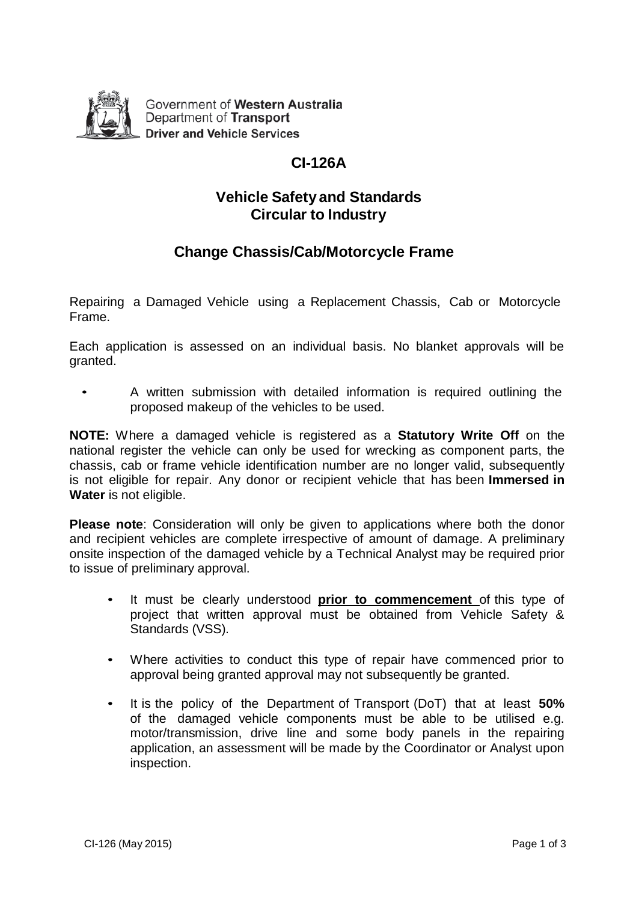

Government of Western Australia Department of Transport **Driver and Vehicle Services** 

# **CI-126A**

### **Vehicle Safety and Standards Circular to Industry**

## **Change Chassis/Cab/Motorcycle Frame**

Repairing a Damaged Vehicle using a Replacement Chassis, Cab or Motorcycle Frame.

Each application is assessed on an individual basis. No blanket approvals will be granted.

• A written submission with detailed information is required outlining the proposed makeup of the vehicles to be used.

**NOTE:** Where a damaged vehicle is registered as a **Statutory Write Off** on the national register the vehicle can only be used for wrecking as component parts, the chassis, cab or frame vehicle identification number are no longer valid, subsequently is not eligible for repair. Any donor or recipient vehicle that has been **Immersed in Water** is not eligible.

**Please note**: Consideration will only be given to applications where both the donor and recipient vehicles are complete irrespective of amount of damage. A preliminary onsite inspection of the damaged vehicle by a Technical Analyst may be required prior to issue of preliminary approval.

- It must be clearly understood **prior to commencement** of this type of project that written approval must be obtained from Vehicle Safety & Standards (VSS).
- Where activities to conduct this type of repair have commenced prior to approval being granted approval may not subsequently be granted.
- It is the policy of the Department of Transport (DoT) that at least **50%**  of the damaged vehicle components must be able to be utilised e.g. motor/transmission, drive line and some body panels in the repairing application, an assessment will be made by the Coordinator or Analyst upon inspection.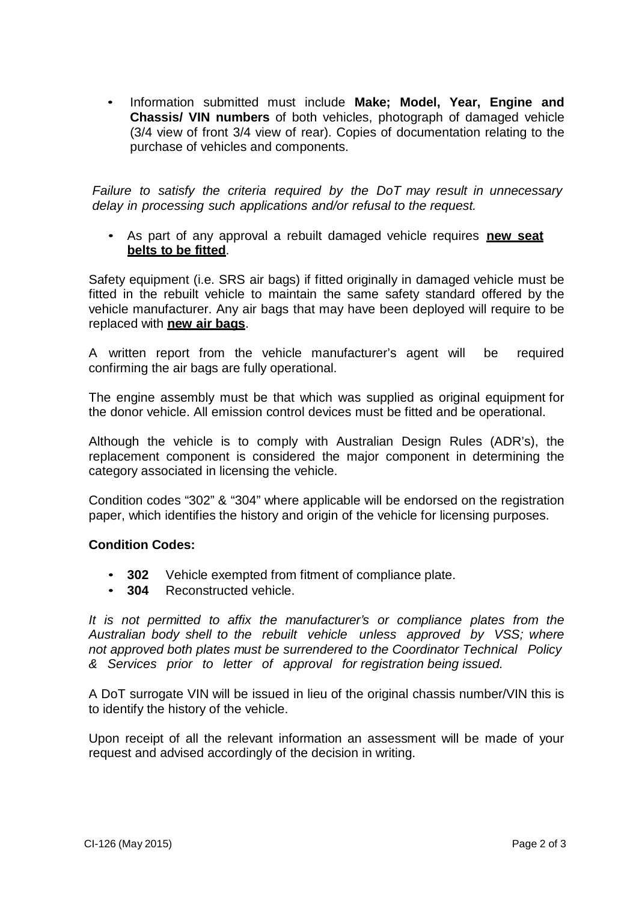• Information submitted must include **Make; Model, Year, Engine and Chassis/ VIN numbers** of both vehicles, photograph of damaged vehicle (3/4 view of front 3/4 view of rear). Copies of documentation relating to the purchase of vehicles and components.

*Failure to satisfy the criteria required by the DoT may result in unnecessary delay in processing such applications and/or refusal to the request.*

• As part of any approval a rebuilt damaged vehicle requires **new seat belts to be fitted**.

Safety equipment (i.e. SRS air bags) if fitted originally in damaged vehicle must be fitted in the rebuilt vehicle to maintain the same safety standard offered by the vehicle manufacturer. Any air bags that may have been deployed will require to be replaced with **new air bags**.

A written report from the vehicle manufacturer's agent will be required confirming the air bags are fully operational.

The engine assembly must be that which was supplied as original equipment for the donor vehicle. All emission control devices must be fitted and be operational.

Although the vehicle is to comply with Australian Design Rules (ADR's), the replacement component is considered the major component in determining the category associated in licensing the vehicle.

Condition codes "302" & "304" where applicable will be endorsed on the registration paper, which identifies the history and origin of the vehicle for licensing purposes.

### **Condition Codes:**

- **302** Vehicle exempted from fitment of compliance plate.
- **304** Reconstructed vehicle.

*It is not permitted to affix the manufacturer's or compliance plates from the Australian body shell to the rebuilt vehicle unless approved by VSS; where not approved both plates must be surrendered to the Coordinator Technical Policy & Services prior to letter of approval for registration being issued.*

A DoT surrogate VIN will be issued in lieu of the original chassis number/VIN this is to identify the history of the vehicle.

Upon receipt of all the relevant information an assessment will be made of your request and advised accordingly of the decision in writing.